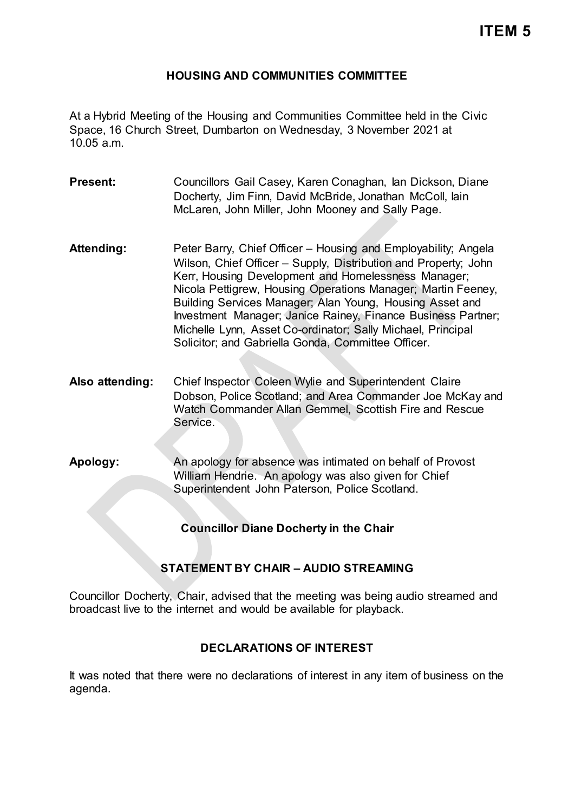### **HOUSING AND COMMUNITIES COMMITTEE**

At a Hybrid Meeting of the Housing and Communities Committee held in the Civic Space, 16 Church Street, Dumbarton on Wednesday, 3 November 2021 at 10.05 a.m.

- **Present:** Councillors Gail Casey, Karen Conaghan, Ian Dickson, Diane Docherty, Jim Finn, David McBride, Jonathan McColl, Iain McLaren, John Miller, John Mooney and Sally Page.
- Attending: Peter Barry, Chief Officer Housing and Employability; Angela Wilson, Chief Officer – Supply, Distribution and Property; John Kerr, Housing Development and Homelessness Manager; Nicola Pettigrew, Housing Operations Manager; Martin Feeney, Building Services Manager; Alan Young, Housing Asset and Investment Manager; Janice Rainey, Finance Business Partner; Michelle Lynn, Asset Co-ordinator; Sally Michael, Principal Solicitor; and Gabriella Gonda, Committee Officer.
- **Also attending:** Chief Inspector Coleen Wylie and Superintendent Claire Dobson, Police Scotland; and Area Commander Joe McKay and Watch Commander Allan Gemmel, Scottish Fire and Rescue Service.
- **Apology:** An apology for absence was intimated on behalf of Provost William Hendrie. An apology was also given for Chief Superintendent John Paterson, Police Scotland.

**Councillor Diane Docherty in the Chair**

# **STATEMENT BY CHAIR – AUDIO STREAMING**

Councillor Docherty, Chair, advised that the meeting was being audio streamed and broadcast live to the internet and would be available for playback.

# **DECLARATIONS OF INTEREST**

It was noted that there were no declarations of interest in any item of business on the agenda.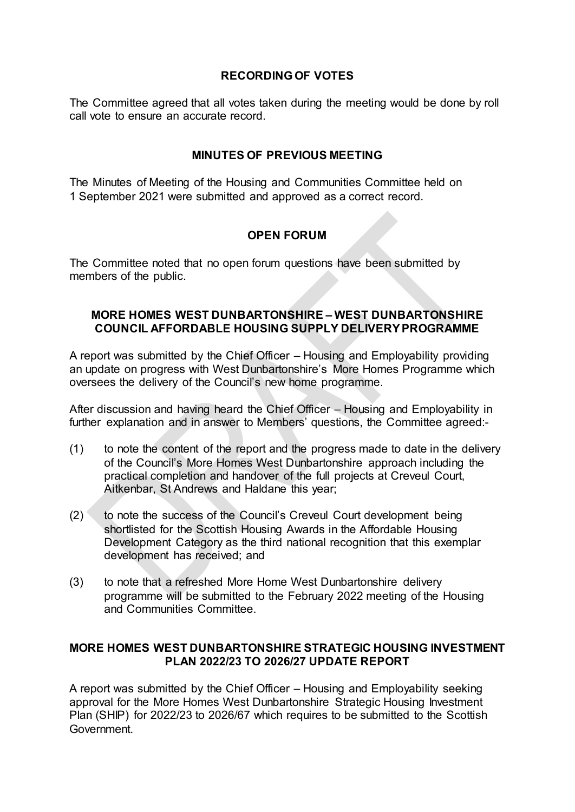### **RECORDING OF VOTES**

The Committee agreed that all votes taken during the meeting would be done by roll call vote to ensure an accurate record.

# **MINUTES OF PREVIOUS MEETING**

The Minutes of Meeting of the Housing and Communities Committee held on 1 September 2021 were submitted and approved as a correct record.

# **OPEN FORUM**

The Committee noted that no open forum questions have been submitted by members of the public.

### **MORE HOMES WEST DUNBARTONSHIRE – WEST DUNBARTONSHIRE COUNCIL AFFORDABLE HOUSING SUPPLY DELIVERY PROGRAMME**

A report was submitted by the Chief Officer – Housing and Employability providing an update on progress with West Dunbartonshire's More Homes Programme which oversees the delivery of the Council's new home programme.

After discussion and having heard the Chief Officer – Housing and Employability in further explanation and in answer to Members' questions, the Committee agreed:-

- (1) to note the content of the report and the progress made to date in the delivery of the Council's More Homes West Dunbartonshire approach including the practical completion and handover of the full projects at Creveul Court, Aitkenbar, St Andrews and Haldane this year;
- (2) to note the success of the Council's Creveul Court development being shortlisted for the Scottish Housing Awards in the Affordable Housing Development Category as the third national recognition that this exemplar development has received; and
- (3) to note that a refreshed More Home West Dunbartonshire delivery programme will be submitted to the February 2022 meeting of the Housing and Communities Committee.

### **MORE HOMES WEST DUNBARTONSHIRE STRATEGIC HOUSING INVESTMENT PLAN 2022/23 TO 2026/27 UPDATE REPORT**

A report was submitted by the Chief Officer – Housing and Employability seeking approval for the More Homes West Dunbartonshire Strategic Housing Investment Plan (SHIP) for 2022/23 to 2026/67 which requires to be submitted to the Scottish Government.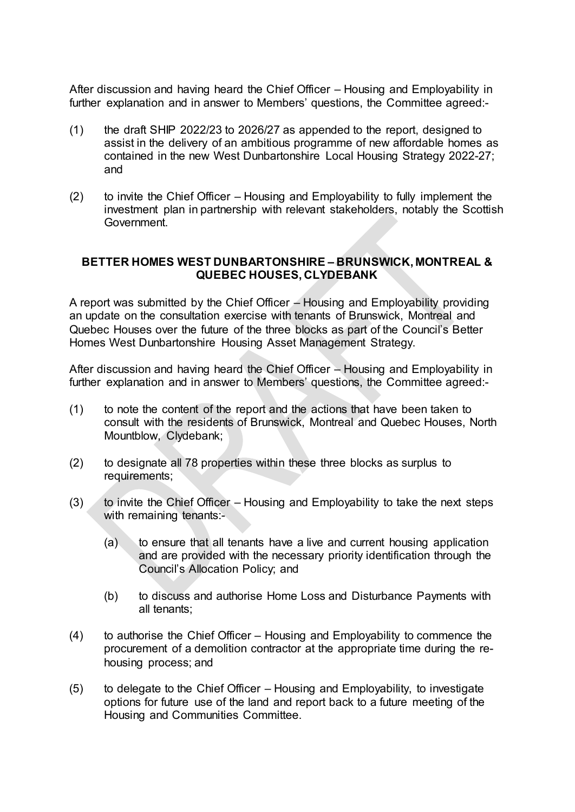After discussion and having heard the Chief Officer – Housing and Employability in further explanation and in answer to Members' questions, the Committee agreed:-

- (1) the draft SHIP 2022/23 to 2026/27 as appended to the report, designed to assist in the delivery of an ambitious programme of new affordable homes as contained in the new West Dunbartonshire Local Housing Strategy 2022-27; and
- (2) to invite the Chief Officer Housing and Employability to fully implement the investment plan in partnership with relevant stakeholders, notably the Scottish Government.

#### **BETTER HOMES WEST DUNBARTONSHIRE – BRUNSWICK, MONTREAL & QUEBEC HOUSES, CLYDEBANK**

A report was submitted by the Chief Officer – Housing and Employability providing an update on the consultation exercise with tenants of Brunswick, Montreal and Quebec Houses over the future of the three blocks as part of the Council's Better Homes West Dunbartonshire Housing Asset Management Strategy.

After discussion and having heard the Chief Officer – Housing and Employability in further explanation and in answer to Members' questions, the Committee agreed:-

- (1) to note the content of the report and the actions that have been taken to consult with the residents of Brunswick, Montreal and Quebec Houses, North Mountblow, Clydebank;
- (2) to designate all 78 properties within these three blocks as surplus to requirements;
- (3) to invite the Chief Officer Housing and Employability to take the next steps with remaining tenants:-
	- (a) to ensure that all tenants have a live and current housing application and are provided with the necessary priority identification through the Council's Allocation Policy; and
	- (b) to discuss and authorise Home Loss and Disturbance Payments with all tenants;
- (4) to authorise the Chief Officer Housing and Employability to commence the procurement of a demolition contractor at the appropriate time during the rehousing process; and
- (5) to delegate to the Chief Officer Housing and Employability, to investigate options for future use of the land and report back to a future meeting of the Housing and Communities Committee.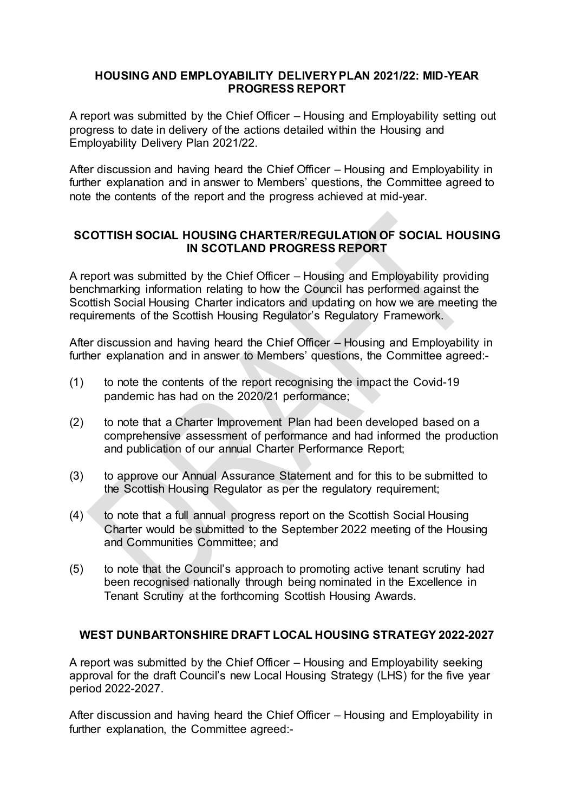#### **HOUSING AND EMPLOYABILITY DELIVERY PLAN 2021/22: MID-YEAR PROGRESS REPORT**

A report was submitted by the Chief Officer – Housing and Employability setting out progress to date in delivery of the actions detailed within the Housing and Employability Delivery Plan 2021/22.

After discussion and having heard the Chief Officer – Housing and Employability in further explanation and in answer to Members' questions, the Committee agreed to note the contents of the report and the progress achieved at mid-year.

### **SCOTTISH SOCIAL HOUSING CHARTER/REGULATION OF SOCIAL HOUSING IN SCOTLAND PROGRESS REPORT**

A report was submitted by the Chief Officer – Housing and Employability providing benchmarking information relating to how the Council has performed against the Scottish Social Housing Charter indicators and updating on how we are meeting the requirements of the Scottish Housing Regulator's Regulatory Framework.

After discussion and having heard the Chief Officer – Housing and Employability in further explanation and in answer to Members' questions, the Committee agreed:-

- (1) to note the contents of the report recognising the impact the Covid-19 pandemic has had on the 2020/21 performance;
- (2) to note that a Charter Improvement Plan had been developed based on a comprehensive assessment of performance and had informed the production and publication of our annual Charter Performance Report;
- (3) to approve our Annual Assurance Statement and for this to be submitted to the Scottish Housing Regulator as per the regulatory requirement;
- (4) to note that a full annual progress report on the Scottish Social Housing Charter would be submitted to the September 2022 meeting of the Housing and Communities Committee; and
- (5) to note that the Council's approach to promoting active tenant scrutiny had been recognised nationally through being nominated in the Excellence in Tenant Scrutiny at the forthcoming Scottish Housing Awards.

#### **WEST DUNBARTONSHIRE DRAFT LOCAL HOUSING STRATEGY 2022-2027**

A report was submitted by the Chief Officer – Housing and Employability seeking approval for the draft Council's new Local Housing Strategy (LHS) for the five year period 2022-2027.

After discussion and having heard the Chief Officer – Housing and Employability in further explanation, the Committee agreed:-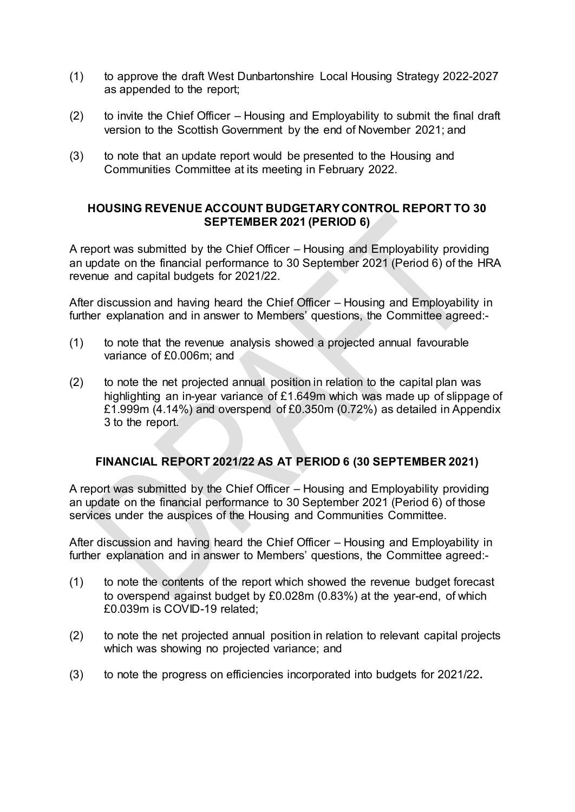- (1) to approve the draft West Dunbartonshire Local Housing Strategy 2022-2027 as appended to the report;
- (2) to invite the Chief Officer Housing and Employability to submit the final draft version to the Scottish Government by the end of November 2021; and
- (3) to note that an update report would be presented to the Housing and Communities Committee at its meeting in February 2022.

### **HOUSING REVENUE ACCOUNT BUDGETARY CONTROL REPORT TO 30 SEPTEMBER 2021 (PERIOD 6)**

A report was submitted by the Chief Officer – Housing and Employability providing an update on the financial performance to 30 September 2021 (Period 6) of the HRA revenue and capital budgets for 2021/22.

After discussion and having heard the Chief Officer – Housing and Employability in further explanation and in answer to Members' questions, the Committee agreed:-

- (1) to note that the revenue analysis showed a projected annual favourable variance of £0.006m; and
- (2) to note the net projected annual position in relation to the capital plan was highlighting an in-year variance of £1.649m which was made up of slippage of £1.999m (4.14%) and overspend of £0.350m (0.72%) as detailed in Appendix 3 to the report.

# **FINANCIAL REPORT 2021/22 AS AT PERIOD 6 (30 SEPTEMBER 2021)**

A report was submitted by the Chief Officer – Housing and Employability providing an update on the financial performance to 30 September 2021 (Period 6) of those services under the auspices of the Housing and Communities Committee.

After discussion and having heard the Chief Officer – Housing and Employability in further explanation and in answer to Members' questions, the Committee agreed:-

- (1) to note the contents of the report which showed the revenue budget forecast to overspend against budget by £0.028m (0.83%) at the year-end, of which £0.039m is COVID-19 related;
- (2) to note the net projected annual position in relation to relevant capital projects which was showing no projected variance; and
- (3) to note the progress on efficiencies incorporated into budgets for 2021/22**.**